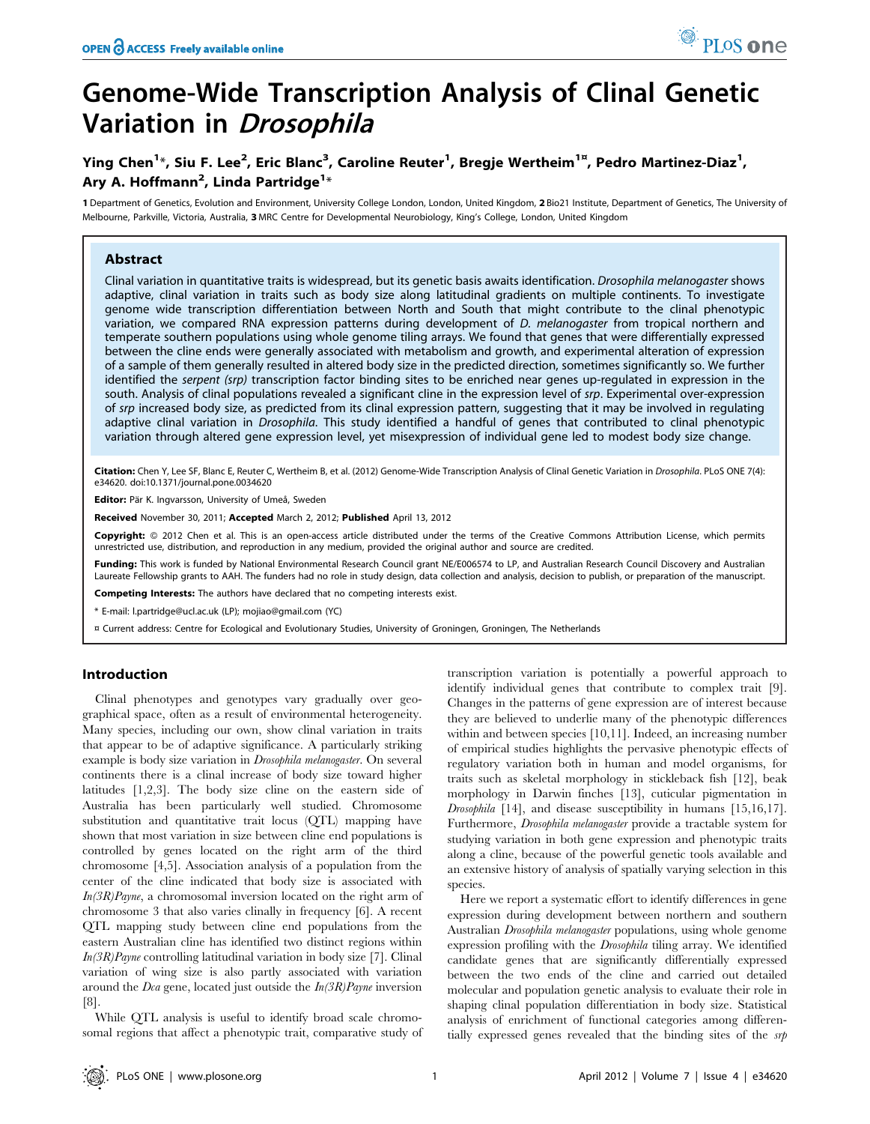# Genome-Wide Transcription Analysis of Clinal Genetic Variation in Drosophila

## Ying Chen<sup>1</sup>\*, Siu F. Lee<sup>2</sup>, Eric Blanc<sup>3</sup>, Caroline Reuter<sup>1</sup>, Bregje Wertheim<sup>1¤</sup>, Pedro Martinez-Diaz<sup>1</sup>, Ary A. Hoffmann<sup>2</sup>, Linda Partridge<sup>1</sup>\*

1 Department of Genetics, Evolution and Environment, University College London, London, United Kingdom, 2 Bio21 Institute, Department of Genetics, The University of Melbourne, Parkville, Victoria, Australia, 3 MRC Centre for Developmental Neurobiology, King's College, London, United Kingdom

#### Abstract

Clinal variation in quantitative traits is widespread, but its genetic basis awaits identification. Drosophila melanogaster shows adaptive, clinal variation in traits such as body size along latitudinal gradients on multiple continents. To investigate genome wide transcription differentiation between North and South that might contribute to the clinal phenotypic variation, we compared RNA expression patterns during development of D. melanogaster from tropical northern and temperate southern populations using whole genome tiling arrays. We found that genes that were differentially expressed between the cline ends were generally associated with metabolism and growth, and experimental alteration of expression of a sample of them generally resulted in altered body size in the predicted direction, sometimes significantly so. We further identified the serpent (srp) transcription factor binding sites to be enriched near genes up-regulated in expression in the south. Analysis of clinal populations revealed a significant cline in the expression level of srp. Experimental over-expression of srp increased body size, as predicted from its clinal expression pattern, suggesting that it may be involved in regulating adaptive clinal variation in *Drosophila*. This study identified a handful of genes that contributed to clinal phenotypic variation through altered gene expression level, yet misexpression of individual gene led to modest body size change.

Citation: Chen Y, Lee SF, Blanc E, Reuter C, Wertheim B, et al. (2012) Genome-Wide Transcription Analysis of Clinal Genetic Variation in Drosophila. PLoS ONE 7(4): e34620. doi:10.1371/journal.pone.0034620

Editor: Pär K. Ingvarsson, University of Umeå, Sweden

Received November 30, 2011; Accepted March 2, 2012; Published April 13, 2012

Copyright: © 2012 Chen et al. This is an open-access article distributed under the terms of the Creative Commons Attribution License, which permits unrestricted use, distribution, and reproduction in any medium, provided the original author and source are credited.

Funding: This work is funded by National Environmental Research Council grant NE/E006574 to LP, and Australian Research Council Discovery and Australian Laureate Fellowship grants to AAH. The funders had no role in study design, data collection and analysis, decision to publish, or preparation of the manuscript.

Competing Interests: The authors have declared that no competing interests exist.

\* E-mail: l.partridge@ucl.ac.uk (LP); mojiao@gmail.com (YC)

¤ Current address: Centre for Ecological and Evolutionary Studies, University of Groningen, Groningen, The Netherlands

#### Introduction

Clinal phenotypes and genotypes vary gradually over geographical space, often as a result of environmental heterogeneity. Many species, including our own, show clinal variation in traits that appear to be of adaptive significance. A particularly striking example is body size variation in Drosophila melanogaster. On several continents there is a clinal increase of body size toward higher latitudes [1,2,3]. The body size cline on the eastern side of Australia has been particularly well studied. Chromosome substitution and quantitative trait locus (QTL) mapping have shown that most variation in size between cline end populations is controlled by genes located on the right arm of the third chromosome [4,5]. Association analysis of a population from the center of the cline indicated that body size is associated with  $In(3R)Payne$ , a chromosomal inversion located on the right arm of chromosome 3 that also varies clinally in frequency [6]. A recent QTL mapping study between cline end populations from the eastern Australian cline has identified two distinct regions within  $In(3R)P<sub>ayne</sub> controlling latitudinal variation in body size [7]. Clinical$ variation of wing size is also partly associated with variation around the Dca gene, located just outside the  $In(3R)P<sub>ayne</sub>$  inversion [8].

While QTL analysis is useful to identify broad scale chromosomal regions that affect a phenotypic trait, comparative study of

transcription variation is potentially a powerful approach to identify individual genes that contribute to complex trait [9]. Changes in the patterns of gene expression are of interest because they are believed to underlie many of the phenotypic differences within and between species [10,11]. Indeed, an increasing number of empirical studies highlights the pervasive phenotypic effects of regulatory variation both in human and model organisms, for traits such as skeletal morphology in stickleback fish [12], beak morphology in Darwin finches [13], cuticular pigmentation in Drosophila [14], and disease susceptibility in humans [15,16,17]. Furthermore, Drosophila melanogaster provide a tractable system for studying variation in both gene expression and phenotypic traits along a cline, because of the powerful genetic tools available and an extensive history of analysis of spatially varying selection in this species.

Here we report a systematic effort to identify differences in gene expression during development between northern and southern Australian Drosophila melanogaster populations, using whole genome expression profiling with the Drosophila tiling array. We identified candidate genes that are significantly differentially expressed between the two ends of the cline and carried out detailed molecular and population genetic analysis to evaluate their role in shaping clinal population differentiation in body size. Statistical analysis of enrichment of functional categories among differentially expressed genes revealed that the binding sites of the srp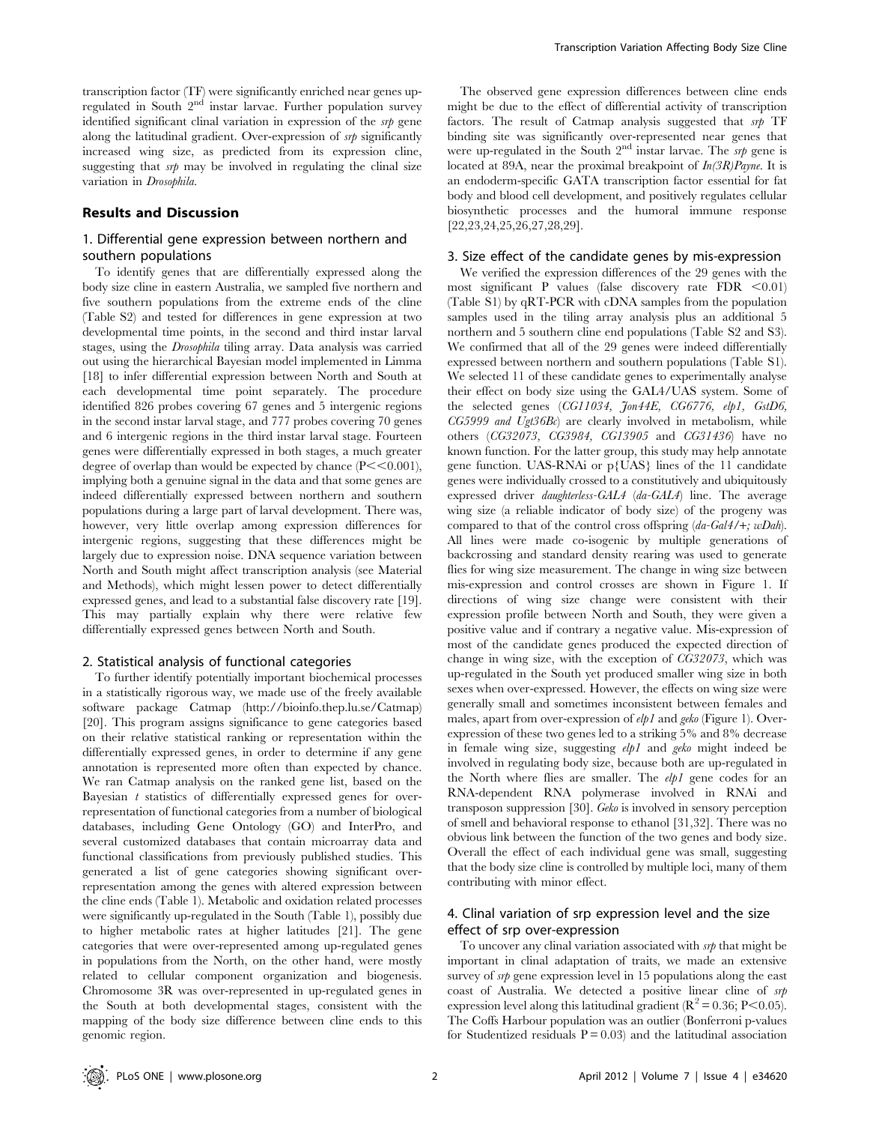transcription factor (TF) were significantly enriched near genes upregulated in South 2<sup>nd</sup> instar larvae. Further population survey identified significant clinal variation in expression of the *srp* gene along the latitudinal gradient. Over-expression of srp significantly increased wing size, as predicted from its expression cline, suggesting that  $s\not\psi$  may be involved in regulating the clinal size variation in Drosophila.

#### Results and Discussion

### 1. Differential gene expression between northern and southern populations

To identify genes that are differentially expressed along the body size cline in eastern Australia, we sampled five northern and five southern populations from the extreme ends of the cline (Table S2) and tested for differences in gene expression at two developmental time points, in the second and third instar larval stages, using the Drosophila tiling array. Data analysis was carried out using the hierarchical Bayesian model implemented in Limma [18] to infer differential expression between North and South at each developmental time point separately. The procedure identified 826 probes covering 67 genes and 5 intergenic regions in the second instar larval stage, and 777 probes covering 70 genes and 6 intergenic regions in the third instar larval stage. Fourteen genes were differentially expressed in both stages, a much greater degree of overlap than would be expected by chance  $(P<<0.001)$ , implying both a genuine signal in the data and that some genes are indeed differentially expressed between northern and southern populations during a large part of larval development. There was, however, very little overlap among expression differences for intergenic regions, suggesting that these differences might be largely due to expression noise. DNA sequence variation between North and South might affect transcription analysis (see Material and Methods), which might lessen power to detect differentially expressed genes, and lead to a substantial false discovery rate [19]. This may partially explain why there were relative few differentially expressed genes between North and South.

#### 2. Statistical analysis of functional categories

To further identify potentially important biochemical processes in a statistically rigorous way, we made use of the freely available software package Catmap (http://bioinfo.thep.lu.se/Catmap) [20]. This program assigns significance to gene categories based on their relative statistical ranking or representation within the differentially expressed genes, in order to determine if any gene annotation is represented more often than expected by chance. We ran Catmap analysis on the ranked gene list, based on the Bayesian t statistics of differentially expressed genes for overrepresentation of functional categories from a number of biological databases, including Gene Ontology (GO) and InterPro, and several customized databases that contain microarray data and functional classifications from previously published studies. This generated a list of gene categories showing significant overrepresentation among the genes with altered expression between the cline ends (Table 1). Metabolic and oxidation related processes were significantly up-regulated in the South (Table 1), possibly due to higher metabolic rates at higher latitudes [21]. The gene categories that were over-represented among up-regulated genes in populations from the North, on the other hand, were mostly related to cellular component organization and biogenesis. Chromosome 3R was over-represented in up-regulated genes in the South at both developmental stages, consistent with the mapping of the body size difference between cline ends to this genomic region.

The observed gene expression differences between cline ends might be due to the effect of differential activity of transcription factors. The result of Catmap analysis suggested that srp TF binding site was significantly over-represented near genes that were up-regulated in the South  $2<sup>nd</sup>$  instar larvae. The srp gene is located at 89A, near the proximal breakpoint of  $In(3R)Pa$ yne. It is an endoderm-specific GATA transcription factor essential for fat body and blood cell development, and positively regulates cellular biosynthetic processes and the humoral immune response [22,23,24,25,26,27,28,29].

#### 3. Size effect of the candidate genes by mis-expression

We verified the expression differences of the 29 genes with the most significant P values (false discovery rate  $FDR < 0.01$ ) (Table S1) by qRT-PCR with cDNA samples from the population samples used in the tiling array analysis plus an additional 5 northern and 5 southern cline end populations (Table S2 and S3). We confirmed that all of the 29 genes were indeed differentially expressed between northern and southern populations (Table S1). We selected 11 of these candidate genes to experimentally analyse their effect on body size using the GAL4/UAS system. Some of the selected genes (CG11034, Jon44E, CG6776, elp1, GstD6,  $CG5999$  and  $Ugt36Bc$ ) are clearly involved in metabolism, while others (CG32073, CG3984, CG13905 and CG31436) have no known function. For the latter group, this study may help annotate gene function. UAS-RNAi or p{UAS} lines of the 11 candidate genes were individually crossed to a constitutively and ubiquitously expressed driver daughterless-GAL4 (da-GAL4) line. The average wing size (a reliable indicator of body size) of the progeny was compared to that of the control cross offspring (da-Gal4/+; wDah). All lines were made co-isogenic by multiple generations of backcrossing and standard density rearing was used to generate flies for wing size measurement. The change in wing size between mis-expression and control crosses are shown in Figure 1. If directions of wing size change were consistent with their expression profile between North and South, they were given a positive value and if contrary a negative value. Mis-expression of most of the candidate genes produced the expected direction of change in wing size, with the exception of CG32073, which was up-regulated in the South yet produced smaller wing size in both sexes when over-expressed. However, the effects on wing size were generally small and sometimes inconsistent between females and males, apart from over-expression of elp1 and geko (Figure 1). Overexpression of these two genes led to a striking 5% and 8% decrease in female wing size, suggesting elp1 and geko might indeed be involved in regulating body size, because both are up-regulated in the North where flies are smaller. The  $elp1$  gene codes for an RNA-dependent RNA polymerase involved in RNAi and transposon suppression [30]. Geko is involved in sensory perception of smell and behavioral response to ethanol [31,32]. There was no obvious link between the function of the two genes and body size. Overall the effect of each individual gene was small, suggesting that the body size cline is controlled by multiple loci, many of them contributing with minor effect.

### 4. Clinal variation of srp expression level and the size effect of srp over-expression

To uncover any clinal variation associated with  $s$ the that might be important in clinal adaptation of traits, we made an extensive survey of srp gene expression level in 15 populations along the east coast of Australia. We detected a positive linear cline of srp expression level along this latitudinal gradient ( $\mathbb{R}^2$  = 0.36; P<0.05). The Coffs Harbour population was an outlier (Bonferroni p-values for Studentized residuals  $P = 0.03$  and the latitudinal association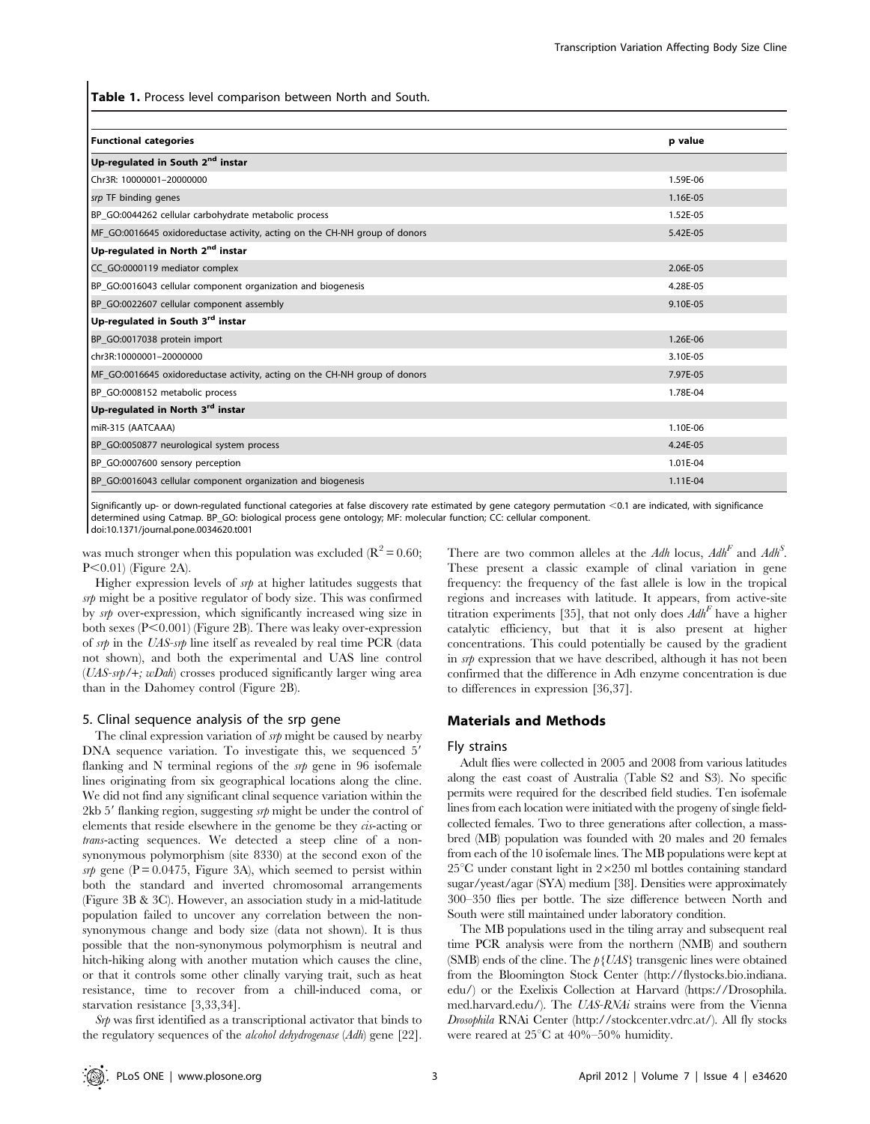Table 1. Process level comparison between North and South.

| <b>Functional categories</b>                                               | p value  |
|----------------------------------------------------------------------------|----------|
| Up-regulated in South 2 <sup>nd</sup> instar                               |          |
| Chr3R: 10000001-20000000                                                   | 1.59E-06 |
| srp TF binding genes                                                       | 1.16E-05 |
| BP_GO:0044262 cellular carbohydrate metabolic process                      | 1.52E-05 |
| MF_GO:0016645 oxidoreductase activity, acting on the CH-NH group of donors | 5.42E-05 |
| Up-regulated in North 2 <sup>nd</sup> instar                               |          |
| CC_GO:0000119 mediator complex                                             | 2.06E-05 |
| BP_GO:0016043 cellular component organization and biogenesis               | 4.28E-05 |
| BP_GO:0022607 cellular component assembly                                  | 9.10E-05 |
| Up-regulated in South 3 <sup>rd</sup> instar                               |          |
| BP_GO:0017038 protein import                                               | 1.26E-06 |
| chr3R:10000001-20000000                                                    | 3.10E-05 |
| MF_GO:0016645 oxidoreductase activity, acting on the CH-NH group of donors | 7.97E-05 |
| BP_GO:0008152 metabolic process                                            | 1.78E-04 |
| Up-regulated in North 3rd instar                                           |          |
| miR-315 (AATCAAA)                                                          | 1.10E-06 |
| BP_GO:0050877 neurological system process                                  | 4.24E-05 |
| BP GO:0007600 sensory perception                                           | 1.01E-04 |
| BP_GO:0016043 cellular component organization and biogenesis               | 1.11E-04 |

Significantly up- or down-regulated functional categories at false discovery rate estimated by gene category permutation <0.1 are indicated, with significance determined using Catmap. BP\_GO: biological process gene ontology; MF: molecular function; CC: cellular component.

doi:10.1371/journal.pone.0034620.t001

was much stronger when this population was excluded ( $\mathbb{R}^2 = 0.60$ ;  $P<0.01$  (Figure 2A).

Higher expression levels of  $s$ *rp* at higher latitudes suggests that srp might be a positive regulator of body size. This was confirmed by srp over-expression, which significantly increased wing size in both sexes  $(P<0.001)$  (Figure 2B). There was leaky over-expression of srp in the UAS-srp line itself as revealed by real time PCR (data not shown), and both the experimental and UAS line control  $(UAS-*srb*/+; wDah)$  crosses produced significantly larger wing area than in the Dahomey control (Figure 2B).

#### 5. Clinal sequence analysis of the srp gene

The clinal expression variation of  $srp$  might be caused by nearby DNA sequence variation. To investigate this, we sequenced 5' flanking and N terminal regions of the  $s$ p gene in 96 isofemale lines originating from six geographical locations along the cline. We did not find any significant clinal sequence variation within the 2kb 5 $^{\prime}$  flanking region, suggesting srp might be under the control of elements that reside elsewhere in the genome be they cis-acting or trans-acting sequences. We detected a steep cline of a nonsynonymous polymorphism (site 8330) at the second exon of the srp gene ( $P = 0.0475$ , Figure 3A), which seemed to persist within both the standard and inverted chromosomal arrangements (Figure 3B & 3C). However, an association study in a mid-latitude population failed to uncover any correlation between the nonsynonymous change and body size (data not shown). It is thus possible that the non-synonymous polymorphism is neutral and hitch-hiking along with another mutation which causes the cline, or that it controls some other clinally varying trait, such as heat resistance, time to recover from a chill-induced coma, or starvation resistance [3,33,34].

 $S$ r $\psi$  was first identified as a transcriptional activator that binds to the regulatory sequences of the alcohol dehydrogenase (Adh) gene [22].

There are two common alleles at the Adh locus,  $Adh^F$  and  $Adh^S$ . These present a classic example of clinal variation in gene frequency: the frequency of the fast allele is low in the tropical regions and increases with latitude. It appears, from active-site titration experiments [35], that not only does  $Adh<sup>F</sup>$  have a higher catalytic efficiency, but that it is also present at higher concentrations. This could potentially be caused by the gradient in srp expression that we have described, although it has not been confirmed that the difference in Adh enzyme concentration is due to differences in expression [36,37].

#### Materials and Methods

#### Fly strains

Adult flies were collected in 2005 and 2008 from various latitudes along the east coast of Australia (Table S2 and S3). No specific permits were required for the described field studies. Ten isofemale lines from each location were initiated with the progeny of single fieldcollected females. Two to three generations after collection, a massbred (MB) population was founded with 20 males and 20 females from each of the 10 isofemale lines. The MB populations were kept at  $25^{\circ}$ C under constant light in  $2\times250$  ml bottles containing standard sugar/yeast/agar (SYA) medium [38]. Densities were approximately 300–350 flies per bottle. The size difference between North and South were still maintained under laboratory condition.

The MB populations used in the tiling array and subsequent real time PCR analysis were from the northern (NMB) and southern (SMB) ends of the cline. The  $p\{UAS\}$  transgenic lines were obtained from the Bloomington Stock Center (http://flystocks.bio.indiana. edu/) or the Exelixis Collection at Harvard (https://Drosophila. med.harvard.edu/). The UAS-RNAi strains were from the Vienna Drosophila RNAi Center (http://stockcenter.vdrc.at/). All fly stocks were reared at  $25^{\circ}$ C at  $40\%$ -50% humidity.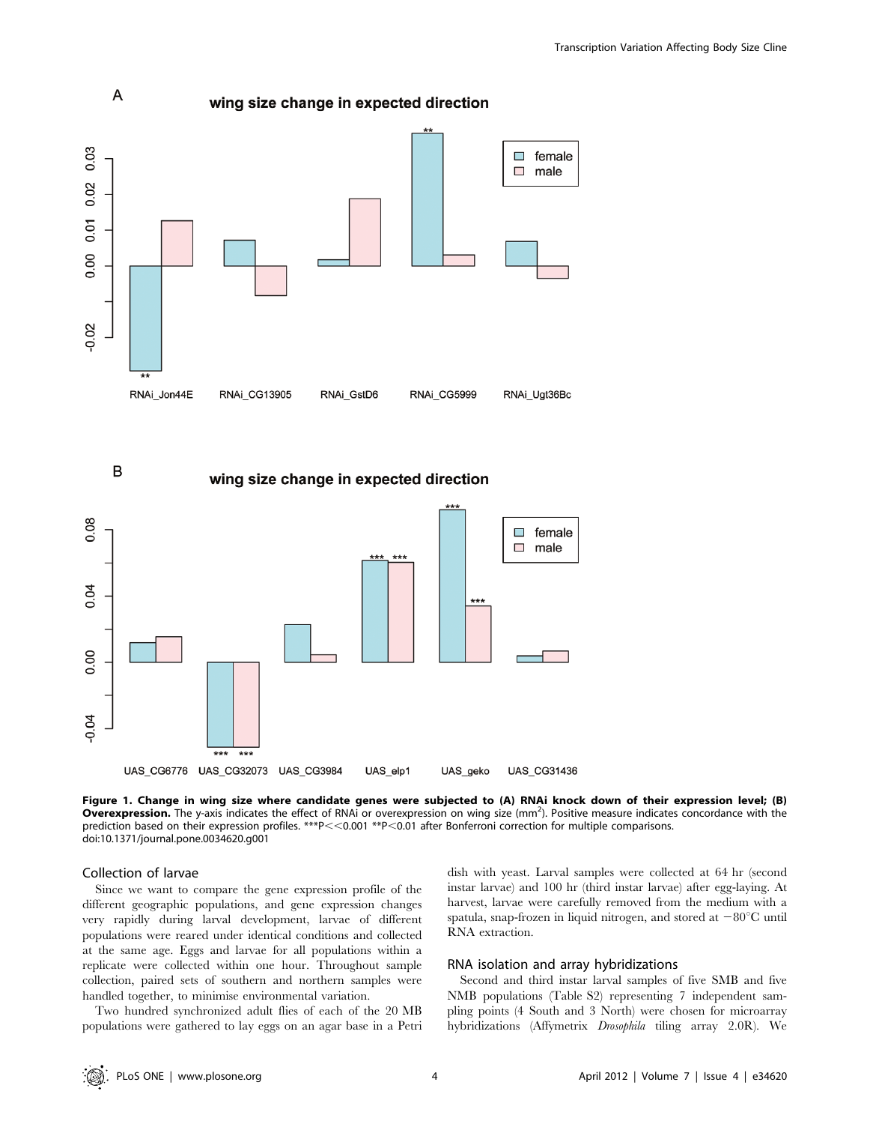

B

#### wing size change in expected direction



Figure 1. Change in wing size where candidate genes were subjected to (A) RNAi knock down of their expression level; (B) Overexpression. The y-axis indicates the effect of RNAi or overexpression on wing size (mm<sup>2</sup>). Positive measure indicates concordance with the prediction based on their expression profiles. \*\*\* $P < 0.001$  \*\* $P < 0.01$  after Bonferroni correction for multiple comparisons. doi:10.1371/journal.pone.0034620.g001

#### Collection of larvae

Since we want to compare the gene expression profile of the different geographic populations, and gene expression changes very rapidly during larval development, larvae of different populations were reared under identical conditions and collected at the same age. Eggs and larvae for all populations within a replicate were collected within one hour. Throughout sample collection, paired sets of southern and northern samples were handled together, to minimise environmental variation.

Two hundred synchronized adult flies of each of the 20 MB populations were gathered to lay eggs on an agar base in a Petri dish with yeast. Larval samples were collected at 64 hr (second instar larvae) and 100 hr (third instar larvae) after egg-laying. At harvest, larvae were carefully removed from the medium with a spatula, snap-frozen in liquid nitrogen, and stored at  $-80^{\circ}$ C until RNA extraction.

#### RNA isolation and array hybridizations

Second and third instar larval samples of five SMB and five NMB populations (Table S2) representing 7 independent sampling points (4 South and 3 North) were chosen for microarray hybridizations (Affymetrix Drosophila tiling array 2.0R). We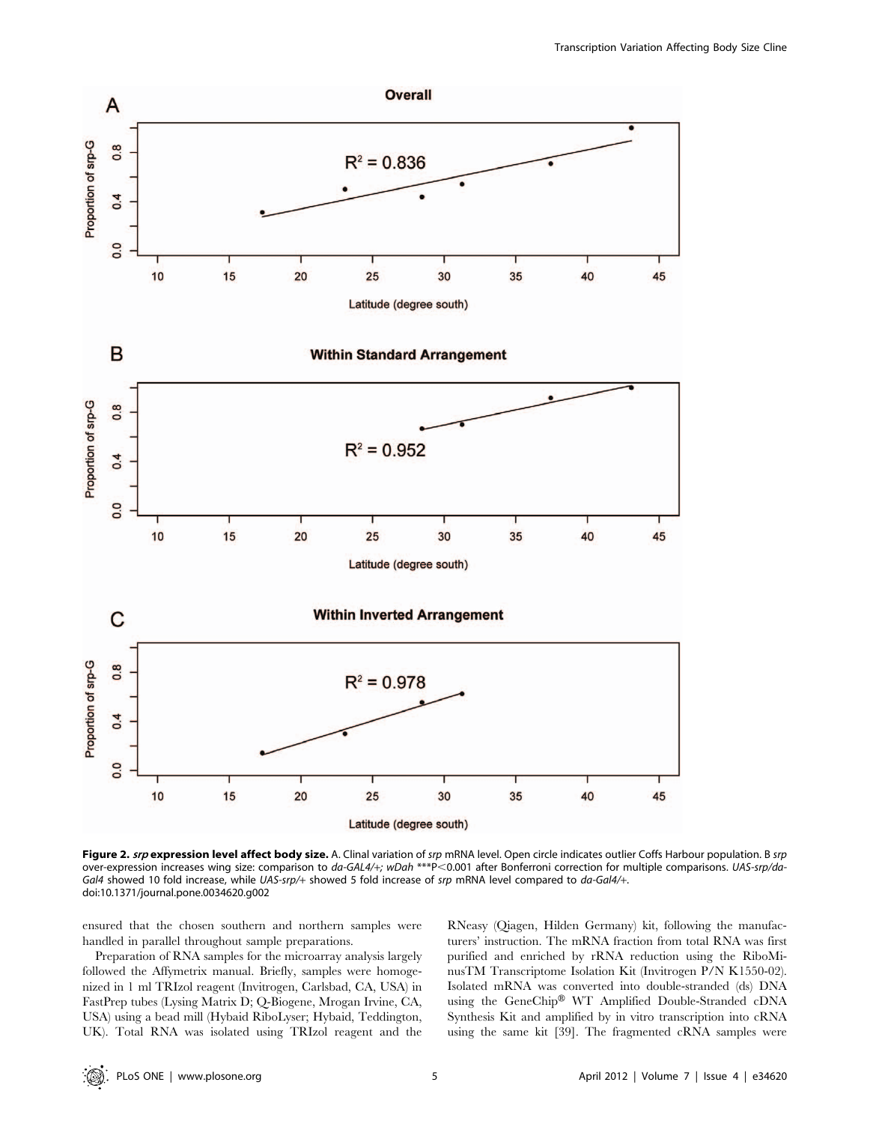

Figure 2. srp expression level affect body size. A. Clinal variation of srp mRNA level. Open circle indicates outlier Coffs Harbour population. B srp over-expression increases wing size: comparison to da-GAL4/+; wDah \*\*\*P<0.001 after Bonferroni correction for multiple comparisons. UAS-srp/da-Gal4 showed 10 fold increase, while UAS-srp/+ showed 5 fold increase of srp mRNA level compared to da-Gal4/+. doi:10.1371/journal.pone.0034620.g002

ensured that the chosen southern and northern samples were handled in parallel throughout sample preparations.

Preparation of RNA samples for the microarray analysis largely followed the Affymetrix manual. Briefly, samples were homogenized in 1 ml TRIzol reagent (Invitrogen, Carlsbad, CA, USA) in FastPrep tubes (Lysing Matrix D; Q-Biogene, Mrogan Irvine, CA, USA) using a bead mill (Hybaid RiboLyser; Hybaid, Teddington, UK). Total RNA was isolated using TRIzol reagent and the RNeasy (Qiagen, Hilden Germany) kit, following the manufacturers' instruction. The mRNA fraction from total RNA was first purified and enriched by rRNA reduction using the RiboMinusTM Transcriptome Isolation Kit (Invitrogen P/N K1550-02). Isolated mRNA was converted into double-stranded (ds) DNA using the GeneChip® WT Amplified Double-Stranded cDNA Synthesis Kit and amplified by in vitro transcription into cRNA using the same kit [39]. The fragmented cRNA samples were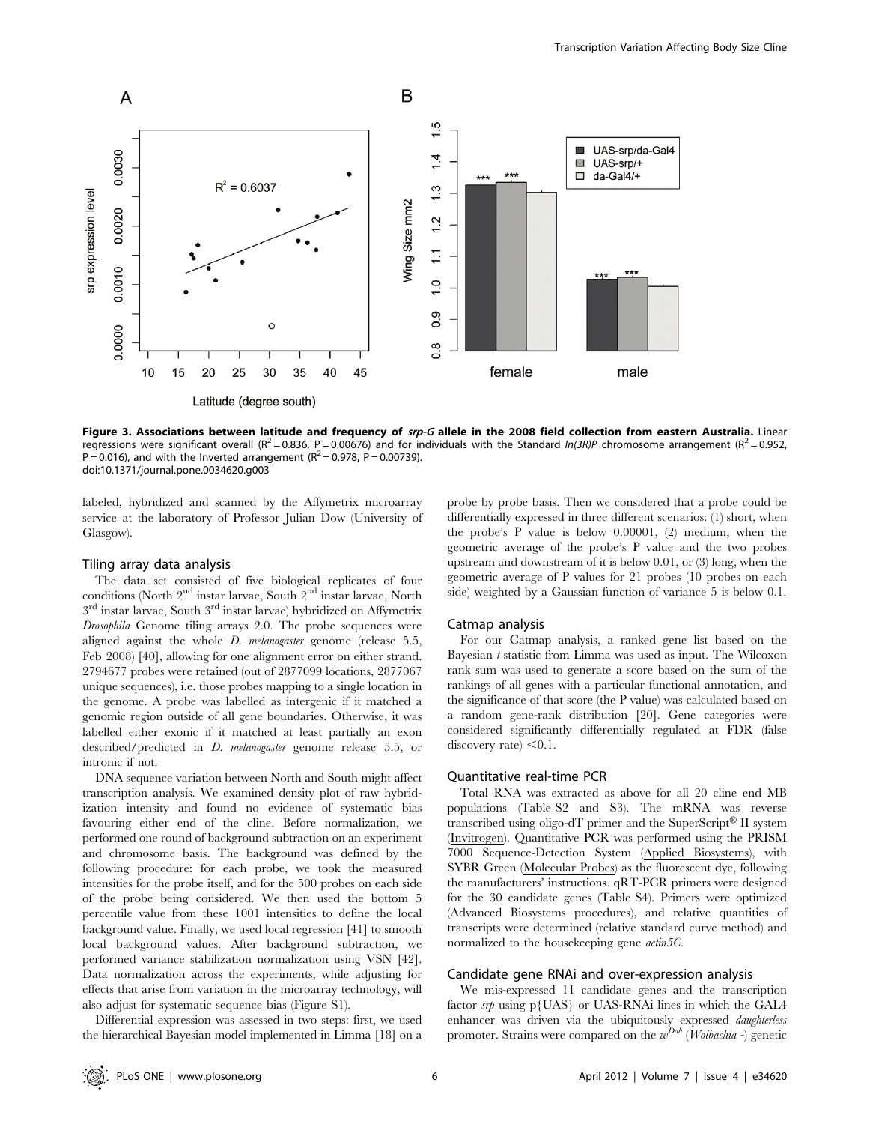

Figure 3. Associations between latitude and frequency of srp-G allele in the 2008 field collection from eastern Australia. Linear regressions were significant overall (R<sup>2</sup> = 0.836, P = 0.00676) and for individuals with the Standard In(3R)P chromosome arrangement (R<sup>2</sup> = 0.952, P = 0.016), and with the Inverted arrangement ( $R^2$  = 0.978, P = 0.00739). doi:10.1371/journal.pone.0034620.g003

labeled, hybridized and scanned by the Affymetrix microarray service at the laboratory of Professor Julian Dow (University of Glasgow).

#### Tiling array data analysis

The data set consisted of five biological replicates of four conditions (North  $2<sup>nd</sup>$  instar larvae, South  $2<sup>nd</sup>$  instar larvae, North  $3<sup>rd</sup>$  instar larvae, South  $3<sup>rd</sup>$  instar larvae) hybridized on Affymetrix Drosophila Genome tiling arrays 2.0. The probe sequences were aligned against the whole *D. melanogaster* genome (release 5.5, Feb 2008) [40], allowing for one alignment error on either strand. 2794677 probes were retained (out of 2877099 locations, 2877067 unique sequences), i.e. those probes mapping to a single location in the genome. A probe was labelled as intergenic if it matched a genomic region outside of all gene boundaries. Otherwise, it was labelled either exonic if it matched at least partially an exon described/predicted in *D. melanogaster* genome release 5.5, or intronic if not.

DNA sequence variation between North and South might affect transcription analysis. We examined density plot of raw hybridization intensity and found no evidence of systematic bias favouring either end of the cline. Before normalization, we performed one round of background subtraction on an experiment and chromosome basis. The background was defined by the following procedure: for each probe, we took the measured intensities for the probe itself, and for the 500 probes on each side of the probe being considered. We then used the bottom 5 percentile value from these 1001 intensities to define the local background value. Finally, we used local regression [41] to smooth local background values. After background subtraction, we performed variance stabilization normalization using VSN [42]. Data normalization across the experiments, while adjusting for effects that arise from variation in the microarray technology, will also adjust for systematic sequence bias (Figure S1).

Differential expression was assessed in two steps: first, we used the hierarchical Bayesian model implemented in Limma [18] on a probe by probe basis. Then we considered that a probe could be differentially expressed in three different scenarios: (1) short, when the probe's P value is below 0.00001, (2) medium, when the geometric average of the probe's P value and the two probes upstream and downstream of it is below 0.01, or (3) long, when the geometric average of P values for 21 probes (10 probes on each side) weighted by a Gaussian function of variance 5 is below 0.1.

#### Catmap analysis

For our Catmap analysis, a ranked gene list based on the Bayesian t statistic from Limma was used as input. The Wilcoxon rank sum was used to generate a score based on the sum of the rankings of all genes with a particular functional annotation, and the significance of that score (the P value) was calculated based on a random gene-rank distribution [20]. Gene categories were considered significantly differentially regulated at FDR (false discovery rate)  $< 0.1$ .

#### Quantitative real-time PCR

Total RNA was extracted as above for all 20 cline end MB populations (Table S2 and S3). The mRNA was reverse transcribed using oligo-dT primer and the SuperScript® II system (Invitrogen). Quantitative PCR was performed using the PRISM 7000 Sequence-Detection System (Applied Biosystems), with SYBR Green (Molecular Probes) as the fluorescent dye, following the manufacturers' instructions. qRT-PCR primers were designed for the 30 candidate genes (Table S4). Primers were optimized (Advanced Biosystems procedures), and relative quantities of transcripts were determined (relative standard curve method) and normalized to the housekeeping gene  $\alpha$ ctin5C.

#### Candidate gene RNAi and over-expression analysis

We mis-expressed 11 candidate genes and the transcription factor  $s$ *r* $\psi$  using p{UAS} or UAS-RNAi lines in which the GAL4 enhancer was driven via the ubiquitously expressed daughterless promoter. Strains were compared on the  $w^{Dah}$  (Wolbachia -) genetic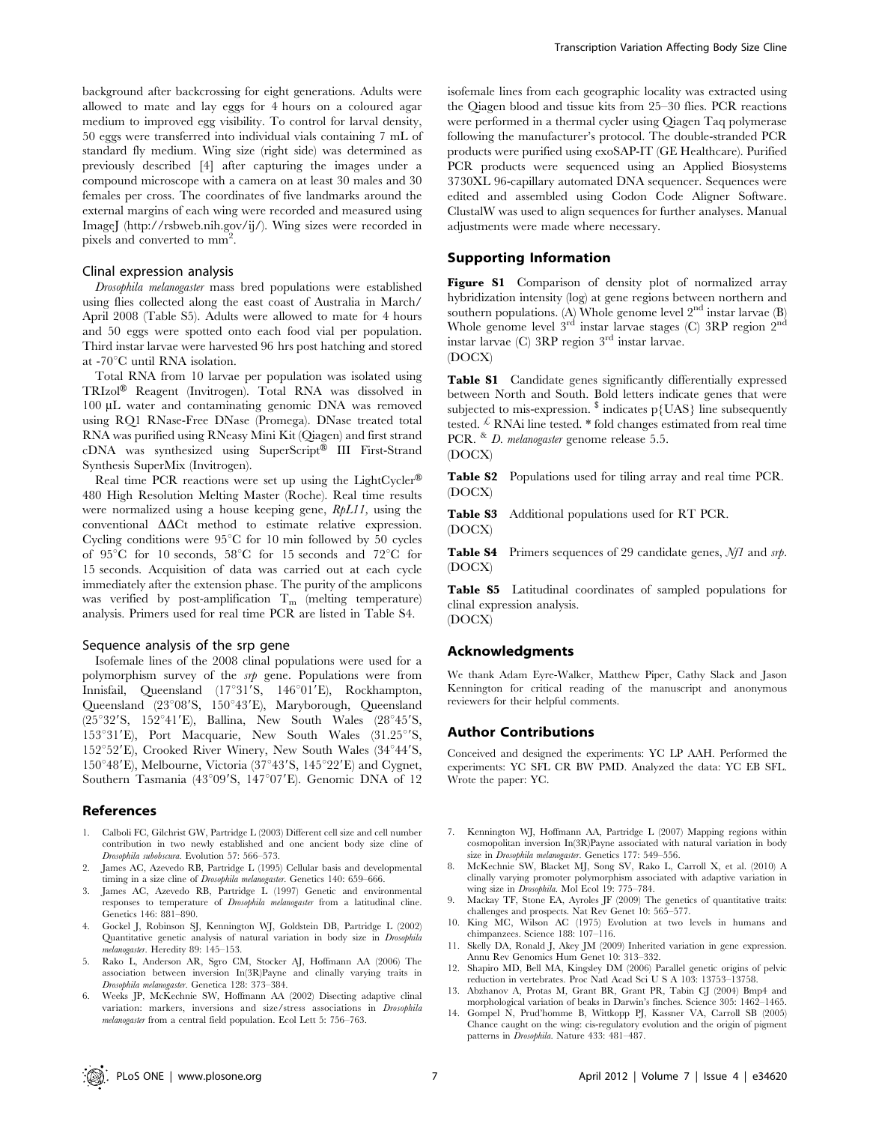background after backcrossing for eight generations. Adults were allowed to mate and lay eggs for 4 hours on a coloured agar medium to improved egg visibility. To control for larval density, 50 eggs were transferred into individual vials containing 7 mL of standard fly medium. Wing size (right side) was determined as previously described [4] after capturing the images under a compound microscope with a camera on at least 30 males and 30 females per cross. The coordinates of five landmarks around the external margins of each wing were recorded and measured using ImageJ (http://rsbweb.nih.gov/ij/). Wing sizes were recorded in pixels and converted to mm<sup>2</sup>.

#### Clinal expression analysis

Drosophila melanogaster mass bred populations were established using flies collected along the east coast of Australia in March/ April 2008 (Table S5). Adults were allowed to mate for 4 hours and 50 eggs were spotted onto each food vial per population. Third instar larvae were harvested 96 hrs post hatching and stored at -70°C until RNA isolation.

Total RNA from 10 larvae per population was isolated using TRIzol® Reagent (Invitrogen). Total RNA was dissolved in 100 µL water and contaminating genomic DNA was removed using RQ1 RNase-Free DNase (Promega). DNase treated total RNA was purified using RNeasy Mini Kit (Qiagen) and first strand cDNA was synthesized using SuperScript® III First-Strand Synthesis SuperMix (Invitrogen).

Real time PCR reactions were set up using the LightCycler® 480 High Resolution Melting Master (Roche). Real time results were normalized using a house keeping gene, RpL11, using the conventional  $\Delta\Delta$ Ct method to estimate relative expression. Cycling conditions were  $95^{\circ}$ C for 10 min followed by 50 cycles of 95 $\mathrm{^{\circ}C}$  for 10 seconds, 58 $\mathrm{^{\circ}C}$  for 15 seconds and 72 $\mathrm{^{\circ}C}$  for 15 seconds. Acquisition of data was carried out at each cycle immediately after the extension phase. The purity of the amplicons was verified by post-amplification  $T_m$  (melting temperature) analysis. Primers used for real time PCR are listed in Table S4.

#### Sequence analysis of the srp gene

Isofemale lines of the 2008 clinal populations were used for a polymorphism survey of the srp gene. Populations were from Innisfail, Queensland (17°31'S, 146°01'E), Rockhampton, Queensland (23°08'S, 150°43'E), Maryborough, Queensland (25°32'S, 152°41'E), Ballina, New South Wales (28°45'S, 153°31'E), Port Macquarie, New South Wales (31.25°'S, 152°52'E), Crooked River Winery, New South Wales (34°44'S, 150°48'E), Melbourne, Victoria (37°43'S, 145°22'E) and Cygnet, Southern Tasmania (43°09'S, 147°07'E). Genomic DNA of 12

#### References

- 1. Calboli FC, Gilchrist GW, Partridge L (2003) Different cell size and cell number contribution in two newly established and one ancient body size cline of Drosophila subobscura. Evolution 57: 566–573.
- 2. James AC, Azevedo RB, Partridge L (1995) Cellular basis and developmental timing in a size cline of Drosophila melanogaster. Genetics 140: 659–666.
- James AC, Azevedo RB, Partridge L (1997) Genetic and environmental responses to temperature of Drosophila melanogaster from a latitudinal cline. Genetics 146: 881–890.
- 4. Gockel J, Robinson SJ, Kennington WJ, Goldstein DB, Partridge L (2002) Quantitative genetic analysis of natural variation in body size in Drosophila melanogaster. Heredity 89: 145–153.
- 5. Rako L, Anderson AR, Sgro CM, Stocker AJ, Hoffmann AA (2006) The association between inversion In(3R)Payne and clinally varying traits in Drosophila melanogaster. Genetica 128: 373–384.
- 6. Weeks JP, McKechnie SW, Hoffmann AA (2002) Disecting adaptive clinal variation: markers, inversions and size/stress associations in Drosophila melanogaster from a central field population. Ecol Lett 5: 756–763.

isofemale lines from each geographic locality was extracted using the Qiagen blood and tissue kits from 25–30 flies. PCR reactions were performed in a thermal cycler using Qiagen Taq polymerase following the manufacturer's protocol. The double-stranded PCR products were purified using exoSAP-IT (GE Healthcare). Purified PCR products were sequenced using an Applied Biosystems 3730XL 96-capillary automated DNA sequencer. Sequences were edited and assembled using Codon Code Aligner Software. ClustalW was used to align sequences for further analyses. Manual adjustments were made where necessary.

#### Supporting Information

Figure S1 Comparison of density plot of normalized array hybridization intensity (log) at gene regions between northern and southern populations. (A) Whole genome level  $2<sup>nd</sup>$  instar larvae (B) Whole genome level 3rd instar larvae stages (C) 3RP region 2nd instar larvae (C) 3RP region 3rd instar larvae. (DOCX)

Table S1 Candidate genes significantly differentially expressed between North and South. Bold letters indicate genes that were subjected to mis-expression.  $\frac{\$}{\$}$  indicates p{UAS} line subsequently tested.  $\overline{k}$  RNAi line tested. \* fold changes estimated from real time PCR. & D. melanogaster genome release 5.5.

#### (DOCX)

Table S2 Populations used for tiling array and real time PCR. (DOCX)

Table S3 Additional populations used for RT PCR. (DOCX)

Table S4 Primers sequences of 29 candidate genes, Nf1 and srp. (DOCX)

Table S5 Latitudinal coordinates of sampled populations for clinal expression analysis. (DOCX)

### Acknowledgments

We thank Adam Eyre-Walker, Matthew Piper, Cathy Slack and Jason Kennington for critical reading of the manuscript and anonymous reviewers for their helpful comments.

#### Author Contributions

Conceived and designed the experiments: YC LP AAH. Performed the experiments: YC SFL CR BW PMD. Analyzed the data: YC EB SFL. Wrote the paper: YC.

- 7. Kennington WJ, Hoffmann AA, Partridge L (2007) Mapping regions within cosmopolitan inversion In(3R)Payne associated with natural variation in body size in Drosophila melanogaster. Genetics 177: 549–556.
- 8. McKechnie SW, Blacket MJ, Song SV, Rako L, Carroll X, et al. (2010) A clinally varying promoter polymorphism associated with adaptive variation in wing size in Drosophila. Mol Ecol 19: 775–784.
- 9. Mackay TF, Stone EA, Ayroles JF (2009) The genetics of quantitative traits: challenges and prospects. Nat Rev Genet 10: 565–577.
- 10. King MC, Wilson AC (1975) Evolution at two levels in humans and chimpanzees. Science 188: 107–116.
- 11. Skelly DA, Ronald J, Akey JM (2009) Inherited variation in gene expression. Annu Rev Genomics Hum Genet 10: 313–332.
- 12. Shapiro MD, Bell MA, Kingsley DM (2006) Parallel genetic origins of pelvic reduction in vertebrates. Proc Natl Acad Sci U S A 103: 13753–13758.
- 13. Abzhanov A, Protas M, Grant BR, Grant PR, Tabin CJ (2004) Bmp4 and morphological variation of beaks in Darwin's finches. Science 305: 1462–1465.
- 14. Gompel N, Prud'homme B, Wittkopp PJ, Kassner VA, Carroll SB (2005) Chance caught on the wing: cis-regulatory evolution and the origin of pigment patterns in Drosophila. Nature 433: 481–487.